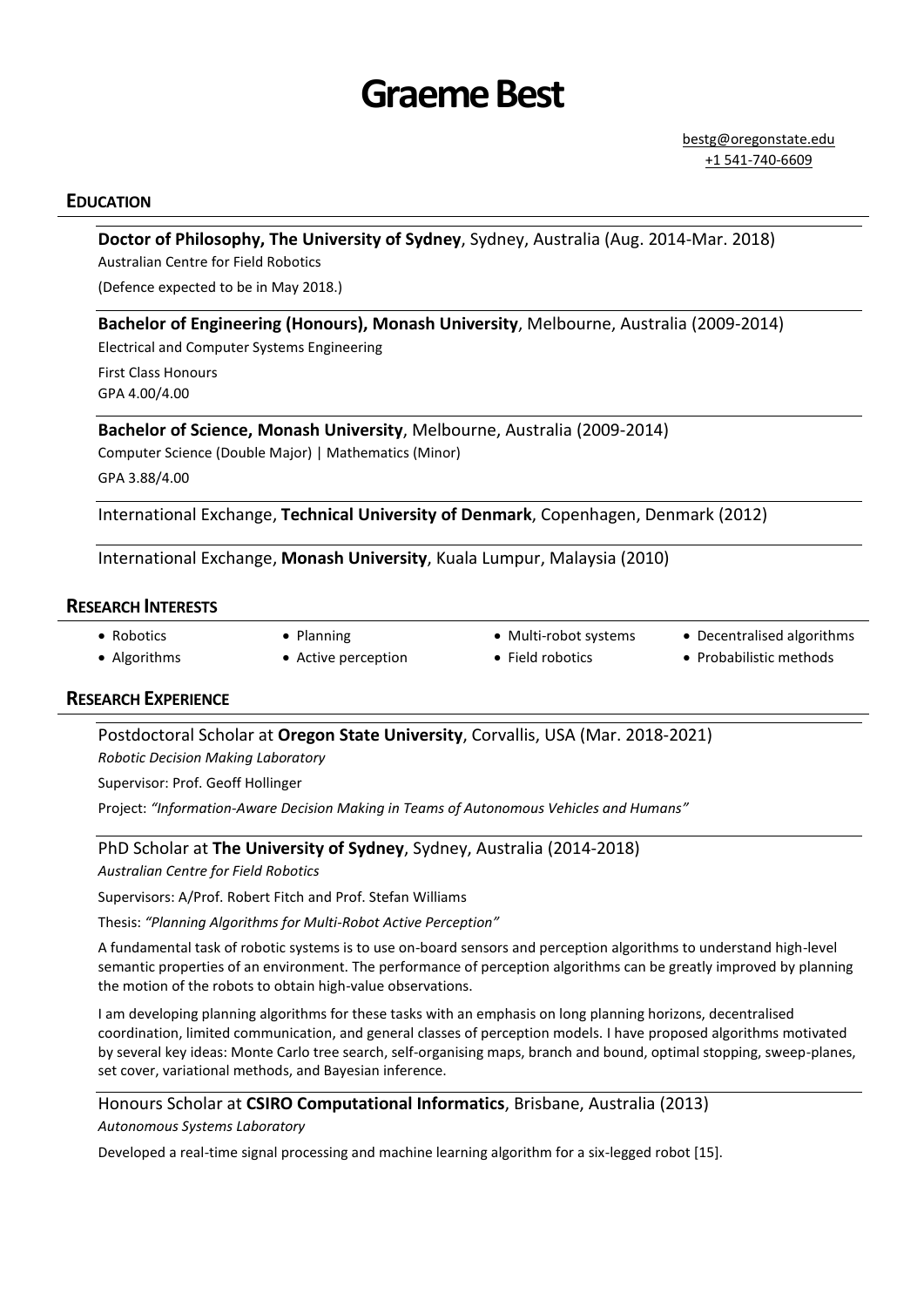# **Graeme Best**

## **EDUCATION**

## **Doctor of Philosophy, The University of Sydney**, Sydney, Australia (Aug. 2014-Mar. 2018) Australian Centre for Field Robotics

(Defence expected to be in May 2018.)

#### **Bachelor of Engineering (Honours), Monash University**, Melbourne, Australia (2009-2014)

Electrical and Computer Systems Engineering First Class Honours GPA 4.00/4.00

## **Bachelor of Science, Monash University**, Melbourne, Australia (2009-2014)

Computer Science (Double Major) | Mathematics (Minor) GPA 3.88/4.00

International Exchange, **Technical University of Denmark**, Copenhagen, Denmark (2012)

International Exchange, **Monash University**, Kuala Lumpur, Malaysia (2010)

#### **RESEARCH INTERESTS**

- Robotics Algorithms
- Planning Active perception
- Multi-robot systems
- Decentralised algorithms
- Field robotics
- 
- Probabilistic methods

## **RESEARCH EXPERIENCE**

Postdoctoral Scholar at **Oregon State University**, Corvallis, USA (Mar. 2018-2021) *Robotic Decision Making Laboratory*

Supervisor: Prof. Geoff Hollinger

Project: *"Information-Aware Decision Making in Teams of Autonomous Vehicles and Humans"*

#### PhD Scholar at **The University of Sydney**, Sydney, Australia (2014-2018)

*Australian Centre for Field Robotics*

Supervisors: A/Prof. Robert Fitch and Prof. Stefan Williams

Thesis: *"Planning Algorithms for Multi-Robot Active Perception"*

A fundamental task of robotic systems is to use on-board sensors and perception algorithms to understand high-level semantic properties of an environment. The performance of perception algorithms can be greatly improved by planning the motion of the robots to obtain high-value observations.

I am developing planning algorithms for these tasks with an emphasis on long planning horizons, decentralised coordination, limited communication, and general classes of perception models. I have proposed algorithms motivated by several key ideas: Monte Carlo tree search, self-organising maps, branch and bound, optimal stopping, sweep-planes, set cover, variational methods, and Bayesian inference.

## Honours Scholar at **CSIRO Computational Informatics**, Brisbane, Australia (2013)

*Autonomous Systems Laboratory*

Developed a real-time signal processing and machine learning algorithm for a six-legged robot [\[15\].](#page-2-0)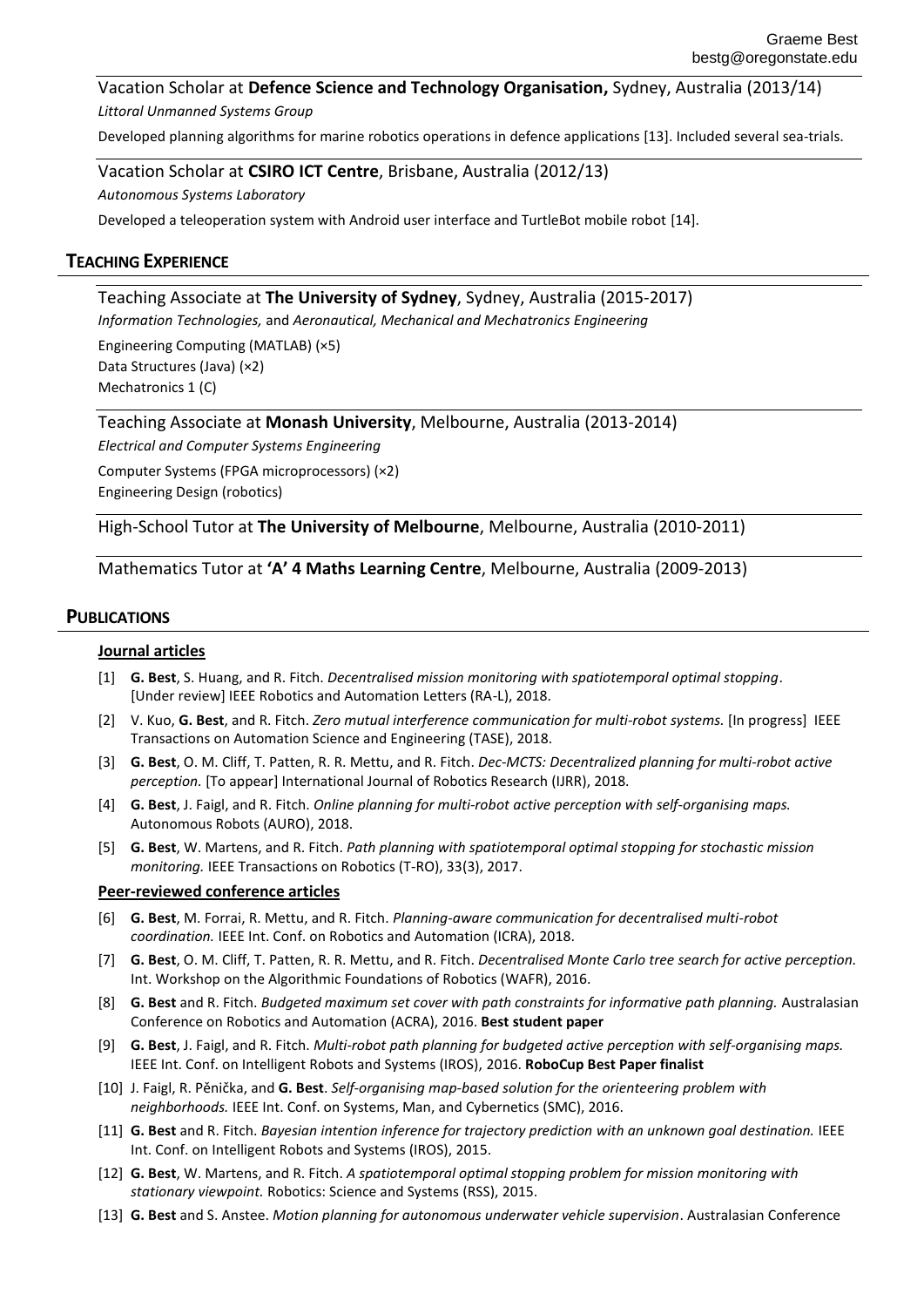Vacation Scholar at **Defence Science and Technology Organisation,** Sydney, Australia (2013/14) *Littoral Unmanned Systems Group*

Developed planning algorithms for marine robotics operations in defence applications [\[13\].](#page-1-0) Included several sea-trials.

Vacation Scholar at **CSIRO ICT Centre**, Brisbane, Australia (2012/13) *Autonomous Systems Laboratory*

Developed a teleoperation system with Android user interface and TurtleBot mobile robot [\[14\].](#page-2-1)

# **TEACHING EXPERIENCE**

# Teaching Associate at **The University of Sydney**, Sydney, Australia (2015-2017)

*Information Technologies,* and *Aeronautical, Mechanical and Mechatronics Engineering*

Engineering Computing (MATLAB) (×5) Data Structures (Java) (×2) Mechatronics 1 (C)

Teaching Associate at **Monash University**, Melbourne, Australia (2013-2014)

*Electrical and Computer Systems Engineering*

Computer Systems (FPGA microprocessors) (×2) Engineering Design (robotics)

High-School Tutor at **The University of Melbourne**, Melbourne, Australia (2010-2011)

## Mathematics Tutor at **'A' 4 Maths Learning Centre**, Melbourne, Australia (2009-2013)

## **PUBLICATIONS**

#### **Journal articles**

- [1] **G. Best**, S. Huang, and R. Fitch. *Decentralised mission monitoring with spatiotemporal optimal stopping*. [Under review] IEEE Robotics and Automation Letters (RA-L), 2018.
- [2] V. Kuo, **G. Best**, and R. Fitch. *Zero mutual interference communication for multi-robot systems.* [In progress] IEEE Transactions on Automation Science and Engineering (TASE), 2018.
- [3] **G. Best**, O. M. Cliff, T. Patten, R. R. Mettu, and R. Fitch. *Dec-MCTS: Decentralized planning for multi-robot active perception.* [To appear] International Journal of Robotics Research (IJRR), 2018.
- [4] **G. Best**, J. Faigl, and R. Fitch. *Online planning for multi-robot active perception with self-organising maps.* Autonomous Robots (AURO), 2018.
- [5] **G. Best**, W. Martens, and R. Fitch. *Path planning with spatiotemporal optimal stopping for stochastic mission monitoring.* IEEE Transactions on Robotics (T-RO), 33(3), 2017.

#### **Peer-reviewed conference articles**

- [6] **G. Best**, M. Forrai, R. Mettu, and R. Fitch. *Planning-aware communication for decentralised multi-robot coordination.* IEEE Int. Conf. on Robotics and Automation (ICRA), 2018.
- [7] **G. Best**, O. M. Cliff, T. Patten, R. R. Mettu, and R. Fitch. *Decentralised Monte Carlo tree search for active perception.* Int. Workshop on the Algorithmic Foundations of Robotics (WAFR), 2016.
- [8] **G. Best** and R. Fitch. *Budgeted maximum set cover with path constraints for informative path planning.* Australasian Conference on Robotics and Automation (ACRA), 2016. **Best student paper**
- [9] **G. Best**, J. Faigl, and R. Fitch. *Multi-robot path planning for budgeted active perception with self-organising maps.*  IEEE Int. Conf. on Intelligent Robots and Systems (IROS), 2016. **RoboCup Best Paper finalist**
- [10] J. Faigl, R. Pěnička, and **G. Best**. *Self-organising map-based solution for the orienteering problem with neighborhoods.* IEEE Int. Conf. on Systems, Man, and Cybernetics (SMC), 2016.
- [11] **G. Best** and R. Fitch. *Bayesian intention inference for trajectory prediction with an unknown goal destination.* IEEE Int. Conf. on Intelligent Robots and Systems (IROS), 2015.
- [12] **G. Best**, W. Martens, and R. Fitch. *A spatiotemporal optimal stopping problem for mission monitoring with stationary viewpoint.* Robotics: Science and Systems (RSS), 2015.
- <span id="page-1-0"></span>[13] **G. Best** and S. Anstee. *Motion planning for autonomous underwater vehicle supervision*. Australasian Conference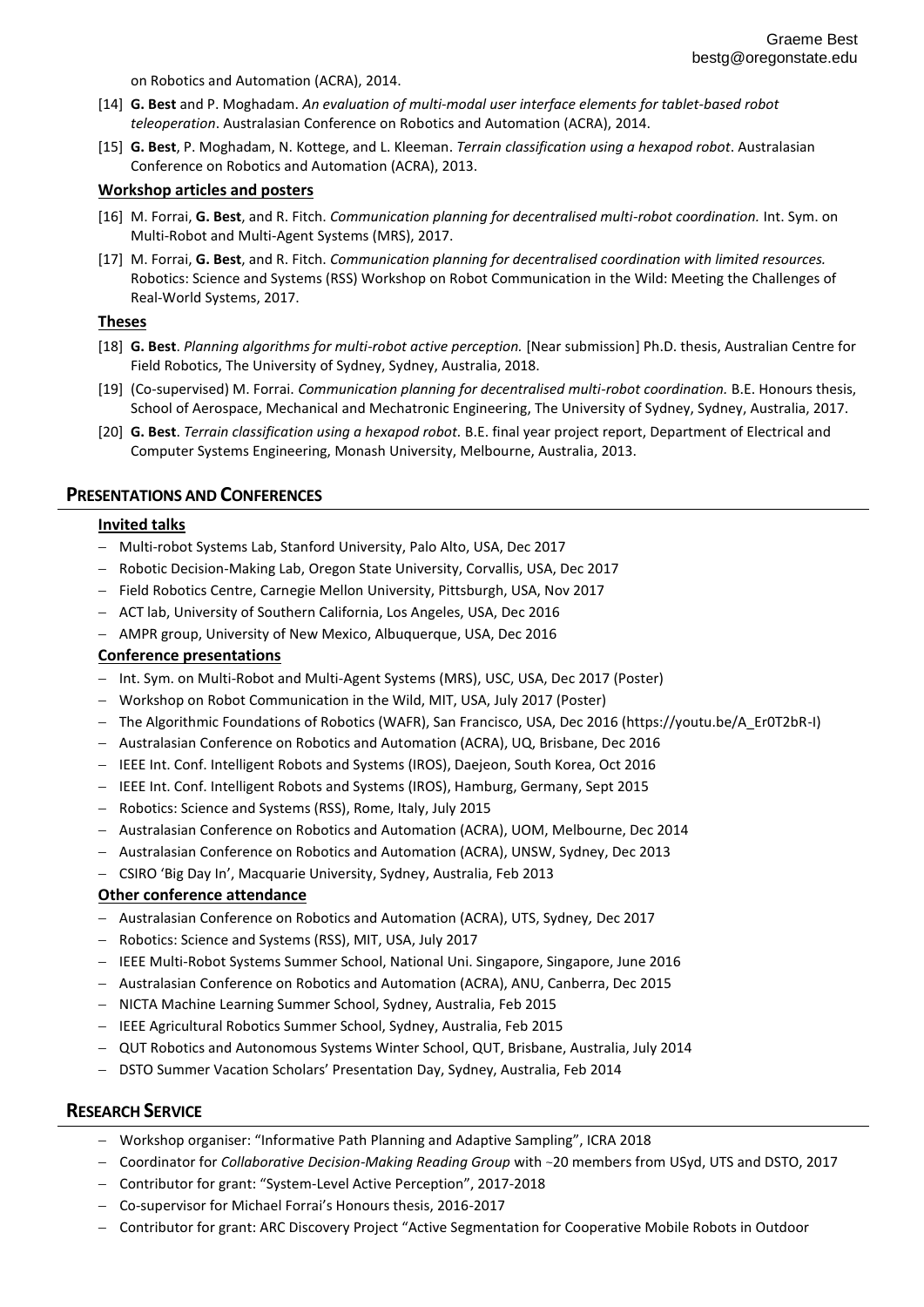on Robotics and Automation (ACRA), 2014.

- <span id="page-2-1"></span>[14] **G. Best** and P. Moghadam. *An evaluation of multi-modal user interface elements for tablet-based robot teleoperation*. Australasian Conference on Robotics and Automation (ACRA), 2014.
- <span id="page-2-0"></span>[15] **G. Best**, P. Moghadam, N. Kottege, and L. Kleeman. *Terrain classification using a hexapod robot*. Australasian Conference on Robotics and Automation (ACRA), 2013.

#### **Workshop articles and posters**

- [16] M. Forrai, **G. Best**, and R. Fitch. *Communication planning for decentralised multi-robot coordination.* Int. Sym. on Multi-Robot and Multi-Agent Systems (MRS), 2017.
- [17] M. Forrai, **G. Best**, and R. Fitch. *Communication planning for decentralised coordination with limited resources.* Robotics: Science and Systems (RSS) Workshop on Robot Communication in the Wild: Meeting the Challenges of Real-World Systems, 2017.

#### **Theses**

- [18] **G. Best**. *Planning algorithms for multi-robot active perception.* [Near submission] Ph.D. thesis, Australian Centre for Field Robotics, The University of Sydney, Sydney, Australia, 2018.
- [19] (Co-supervised) M. Forrai. *Communication planning for decentralised multi-robot coordination.* B.E. Honours thesis, School of Aerospace, Mechanical and Mechatronic Engineering, The University of Sydney, Sydney, Australia, 2017.
- [20] **G. Best**. *Terrain classification using a hexapod robot.* B.E. final year project report, Department of Electrical and Computer Systems Engineering, Monash University, Melbourne, Australia, 2013.

#### **PRESENTATIONS AND CONFERENCES**

#### **Invited talks**

- Multi-robot Systems Lab, Stanford University, Palo Alto, USA, Dec 2017
- Robotic Decision-Making Lab, Oregon State University, Corvallis, USA, Dec 2017
- Field Robotics Centre, Carnegie Mellon University, Pittsburgh, USA, Nov 2017
- ACT lab, University of Southern California, Los Angeles, USA, Dec 2016
- AMPR group, University of New Mexico, Albuquerque, USA, Dec 2016

#### **Conference presentations**

- Int. Sym. on Multi-Robot and Multi-Agent Systems (MRS), USC, USA, Dec 2017 (Poster)
- Workshop on Robot Communication in the Wild, MIT, USA, July 2017 (Poster)
- The Algorithmic Foundations of Robotics (WAFR), San Francisco, USA, Dec 2016 (https://youtu.be/A\_Er0T2bR-I)
- Australasian Conference on Robotics and Automation (ACRA), UQ, Brisbane, Dec 2016
- $-$  IEEE Int. Conf. Intelligent Robots and Systems (IROS), Daejeon, South Korea, Oct 2016
- $-$  IEEE Int. Conf. Intelligent Robots and Systems (IROS), Hamburg, Germany, Sept 2015
- Robotics: Science and Systems (RSS), Rome, Italy, July 2015
- Australasian Conference on Robotics and Automation (ACRA), UOM, Melbourne, Dec 2014
- $-$  Australasian Conference on Robotics and Automation (ACRA), UNSW, Sydney, Dec 2013
- CSIRO 'Big Day In', Macquarie University, Sydney, Australia, Feb 2013

#### **Other conference attendance**

- Australasian Conference on Robotics and Automation (ACRA), UTS, Sydney*,* Dec 2017
- Robotics: Science and Systems (RSS), MIT, USA, July 2017
- IEEE Multi-Robot Systems Summer School, National Uni. Singapore, Singapore, June 2016
- $-$  Australasian Conference on Robotics and Automation (ACRA), ANU, Canberra, Dec 2015
- NICTA Machine Learning Summer School, Sydney, Australia, Feb 2015
- IEEE Agricultural Robotics Summer School, Sydney, Australia, Feb 2015
- QUT Robotics and Autonomous Systems Winter School, QUT, Brisbane, Australia, July 2014
- DSTO Summer Vacation Scholars' Presentation Day, Sydney, Australia, Feb 2014

#### **RESEARCH SERVICE**

- Workshop organiser: "Informative Path Planning and Adaptive Sampling", ICRA 2018
- Coordinator for *Collaborative Decision-Making Reading Group* with ~20 members from USyd, UTS and DSTO, 2017
- Contributor for grant: "System-Level Active Perception", 2017-2018
- Co-supervisor for Michael Forrai's Honours thesis, 2016-2017
- Contributor for grant: ARC Discovery Project "Active Segmentation for Cooperative Mobile Robots in Outdoor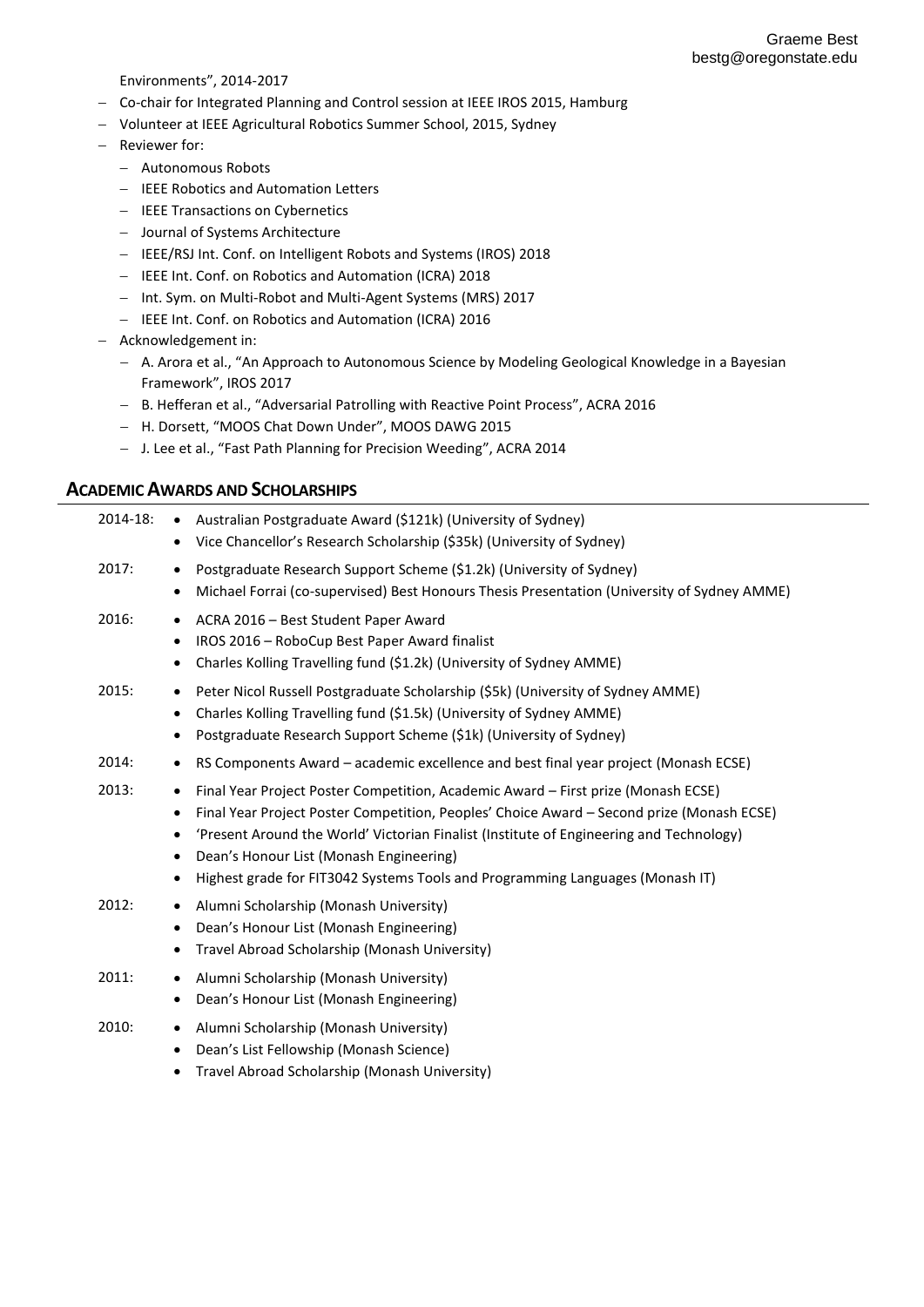Environments", 2014-2017

- Co-chair for Integrated Planning and Control session at IEEE IROS 2015, Hamburg
- Volunteer at IEEE Agricultural Robotics Summer School, 2015, Sydney
- Reviewer for:
	- Autonomous Robots
	- IEEE Robotics and Automation Letters
	- IEEE Transactions on Cybernetics
	- Journal of Systems Architecture
	- IEEE/RSJ Int. Conf. on Intelligent Robots and Systems (IROS) 2018
	- IEEE Int. Conf. on Robotics and Automation (ICRA) 2018
	- Int. Sym. on Multi-Robot and Multi-Agent Systems (MRS) 2017
	- IEEE Int. Conf. on Robotics and Automation (ICRA) 2016
- Acknowledgement in:
	- A. Arora et al., "An Approach to Autonomous Science by Modeling Geological Knowledge in a Bayesian Framework", IROS 2017
	- B. Hefferan et al., "Adversarial Patrolling with Reactive Point Process", ACRA 2016
	- H. Dorsett, "MOOS Chat Down Under", MOOS DAWG 2015
	- J. Lee et al., "Fast Path Planning for Precision Weeding", ACRA 2014

#### **ACADEMIC AWARDS AND SCHOLARSHIPS**

| 2014-18: | Australian Postgraduate Award (\$121k) (University of Sydney)<br>$\bullet$<br>Vice Chancellor's Research Scholarship (\$35k) (University of Sydney)<br>$\bullet$                                                                                                                                                                                                                                                             |
|----------|------------------------------------------------------------------------------------------------------------------------------------------------------------------------------------------------------------------------------------------------------------------------------------------------------------------------------------------------------------------------------------------------------------------------------|
| 2017:    | Postgraduate Research Support Scheme (\$1.2k) (University of Sydney)<br>٠<br>Michael Forrai (co-supervised) Best Honours Thesis Presentation (University of Sydney AMME)                                                                                                                                                                                                                                                     |
| 2016:    | ACRA 2016 - Best Student Paper Award<br>IROS 2016 - RoboCup Best Paper Award finalist<br>Charles Kolling Travelling fund (\$1.2k) (University of Sydney AMME)                                                                                                                                                                                                                                                                |
| 2015:    | Peter Nicol Russell Postgraduate Scholarship (\$5k) (University of Sydney AMME)<br>Charles Kolling Travelling fund (\$1.5k) (University of Sydney AMME)<br>Postgraduate Research Support Scheme (\$1k) (University of Sydney)                                                                                                                                                                                                |
| 2014:    | RS Components Award - academic excellence and best final year project (Monash ECSE)<br>٠                                                                                                                                                                                                                                                                                                                                     |
| 2013:    | Final Year Project Poster Competition, Academic Award - First prize (Monash ECSE)<br>٠<br>Final Year Project Poster Competition, Peoples' Choice Award - Second prize (Monash ECSE)<br>'Present Around the World' Victorian Finalist (Institute of Engineering and Technology)<br>$\bullet$<br>Dean's Honour List (Monash Engineering)<br>٠<br>Highest grade for FIT3042 Systems Tools and Programming Languages (Monash IT) |
| 2012:    | Alumni Scholarship (Monash University)<br>٠<br>Dean's Honour List (Monash Engineering)<br>Travel Abroad Scholarship (Monash University)                                                                                                                                                                                                                                                                                      |
| 2011:    | Alumni Scholarship (Monash University)<br>$\bullet$<br>Dean's Honour List (Monash Engineering)<br>٠                                                                                                                                                                                                                                                                                                                          |
| 2010:    | Alumni Scholarship (Monash University)<br>٠<br>Dean's List Fellowship (Monash Science)<br>٠                                                                                                                                                                                                                                                                                                                                  |

Travel Abroad Scholarship (Monash University)